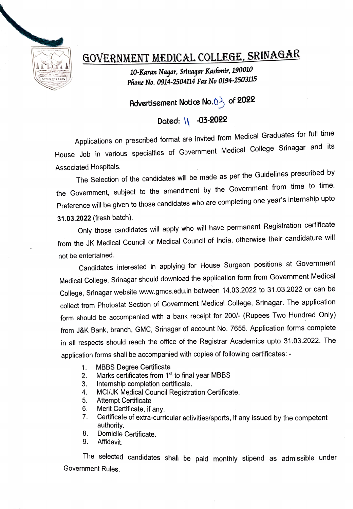

## GOVERNMENT MEDICAL COLLEGE, SRINAGAR

10-Karan Nagar, Srinaqar Kashmir, 190010 Phone No. 0914-2504114 Fax No 0194-2503115

Advertisement Notice No. $0\frac{1}{2}$  of 2022

## Dated: \\ -03-2022

Applications on prescribed format are invited from Medical Graduates for full time House Job in various specialties of Government Medical College Srinagar and its Associated Hospitals.

The Selection of the candidates will be made as per the Guidelines prescribed by the Government, subject to the amendment by the Government from time to time. Preference will be given to those candidates who are completing one year's internship upto 31.03.2022 (fresh batch).

Only those candidates will apply who will have permanent Registration certificate from the JK Medical Council or Medical Council of India, otherwise their candidature will not be entertained.

Candidates interested in applying for House Surgeon positions at Government Medical College, Srinagar should download the application form from Government Medical College, Srinagar website www.gmcs.edu.in between 14.03.2022 to 31.03.2022 or can be collect from Photostat Section of Government Medical College, Srinagar. The application form should be accompanied with a bank receipt for 200/- (Rupees Two Hundred Only) from J&K Bank, branch, GMC, Srinagar of account No. 7655. Application forms complete in all respects should reach the office of the Registrar Academics upto 31.03.2022. The application forms shall be accompanied with copies of following certificates: -

- MBBS Degree Certificate 1
- Marks certificates from 1<sup>st</sup> to final year MBBS 2.
- Internship completion certificate. 3.
- MCI/JK Medical Council Registration Certificate. 4.
- 5. Attempt Certificate
- 6. Merit Certificate, if any.
- 7. Certificate of extra-curricular activities/sports, if any issued by the competent
- 8. Domicile Certificate.
- 9. Affidavit.

he selected candidates shall be paid monthly stipend as admissible under Government Rules.